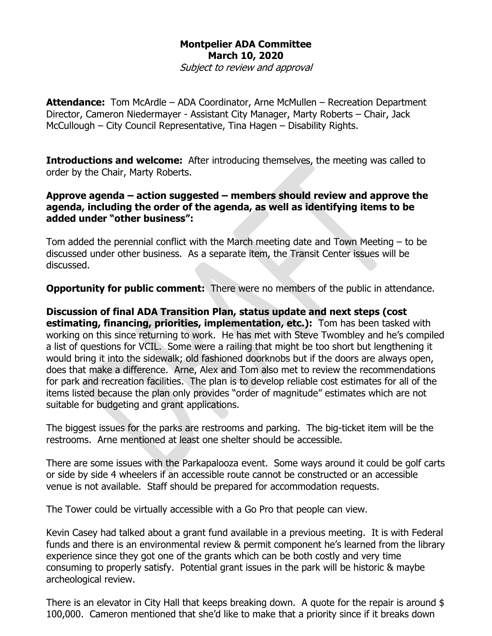## **Montpelier ADA Committee March 10, 2020**

Subject to review and approval

**Attendance:** Tom McArdle – ADA Coordinator, Arne McMullen – Recreation Department Director, Cameron Niedermayer - Assistant City Manager, Marty Roberts – Chair, Jack McCullough – City Council Representative, Tina Hagen – Disability Rights.

**Introductions and welcome:** After introducing themselves, the meeting was called to order by the Chair, Marty Roberts.

## **Approve agenda – action suggested – members should review and approve the agenda, including the order of the agenda, as well as identifying items to be added under "other business":**

Tom added the perennial conflict with the March meeting date and Town Meeting – to be discussed under other business. As a separate item, the Transit Center issues will be discussed.

**Opportunity for public comment:** There were no members of the public in attendance.

**Discussion of final ADA Transition Plan, status update and next steps (cost estimating, financing, priorities, implementation, etc.):** Tom has been tasked with working on this since returning to work. He has met with Steve Twombley and he's compiled a list of questions for VCIL. Some were a railing that might be too short but lengthening it would bring it into the sidewalk; old fashioned doorknobs but if the doors are always open, does that make a difference. Arne, Alex and Tom also met to review the recommendations for park and recreation facilities. The plan is to develop reliable cost estimates for all of the items listed because the plan only provides "order of magnitude" estimates which are not suitable for budgeting and grant applications.

The biggest issues for the parks are restrooms and parking. The big-ticket item will be the restrooms. Arne mentioned at least one shelter should be accessible.

There are some issues with the Parkapalooza event. Some ways around it could be golf carts or side by side 4 wheelers if an accessible route cannot be constructed or an accessible venue is not available. Staff should be prepared for accommodation requests.

The Tower could be virtually accessible with a Go Pro that people can view.

Kevin Casey had talked about a grant fund available in a previous meeting. It is with Federal funds and there is an environmental review & permit component he's learned from the library experience since they got one of the grants which can be both costly and very time consuming to properly satisfy. Potential grant issues in the park will be historic & maybe archeological review.

There is an elevator in City Hall that keeps breaking down. A quote for the repair is around \$ 100,000. Cameron mentioned that she'd like to make that a priority since if it breaks down